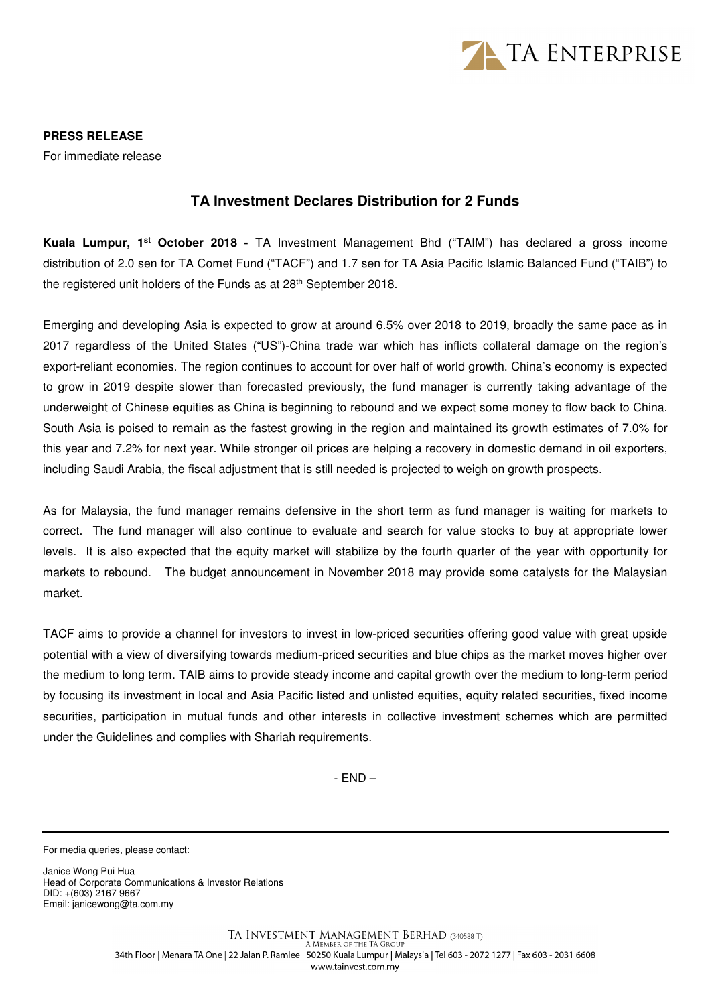

**PRESS RELEASE** 

For immediate release

## **TA Investment Declares Distribution for 2 Funds**

**Kuala Lumpur, 1st October 2018 -** TA Investment Management Bhd ("TAIM") has declared a gross income distribution of 2.0 sen for TA Comet Fund ("TACF") and 1.7 sen for TA Asia Pacific Islamic Balanced Fund ("TAIB") to the registered unit holders of the Funds as at 28<sup>th</sup> September 2018.

Emerging and developing Asia is expected to grow at around 6.5% over 2018 to 2019, broadly the same pace as in 2017 regardless of the United States ("US")-China trade war which has inflicts collateral damage on the region's export-reliant economies. The region continues to account for over half of world growth. China's economy is expected to grow in 2019 despite slower than forecasted previously, the fund manager is currently taking advantage of the underweight of Chinese equities as China is beginning to rebound and we expect some money to flow back to China. South Asia is poised to remain as the fastest growing in the region and maintained its growth estimates of 7.0% for this year and 7.2% for next year. While stronger oil prices are helping a recovery in domestic demand in oil exporters, including Saudi Arabia, the fiscal adjustment that is still needed is projected to weigh on growth prospects.

As for Malaysia, the fund manager remains defensive in the short term as fund manager is waiting for markets to correct. The fund manager will also continue to evaluate and search for value stocks to buy at appropriate lower levels. It is also expected that the equity market will stabilize by the fourth quarter of the year with opportunity for markets to rebound. The budget announcement in November 2018 may provide some catalysts for the Malaysian market.

TACF aims to provide a channel for investors to invest in low-priced securities offering good value with great upside potential with a view of diversifying towards medium-priced securities and blue chips as the market moves higher over the medium to long term. TAIB aims to provide steady income and capital growth over the medium to long-term period by focusing its investment in local and Asia Pacific listed and unlisted equities, equity related securities, fixed income securities, participation in mutual funds and other interests in collective investment schemes which are permitted under the Guidelines and complies with Shariah requirements.

- END –

For media queries, please contact:

Janice Wong Pui Hua Head of Corporate Communications & Investor Relations DID: +(603) 2167 9667 Email: janicewong@ta.com.my